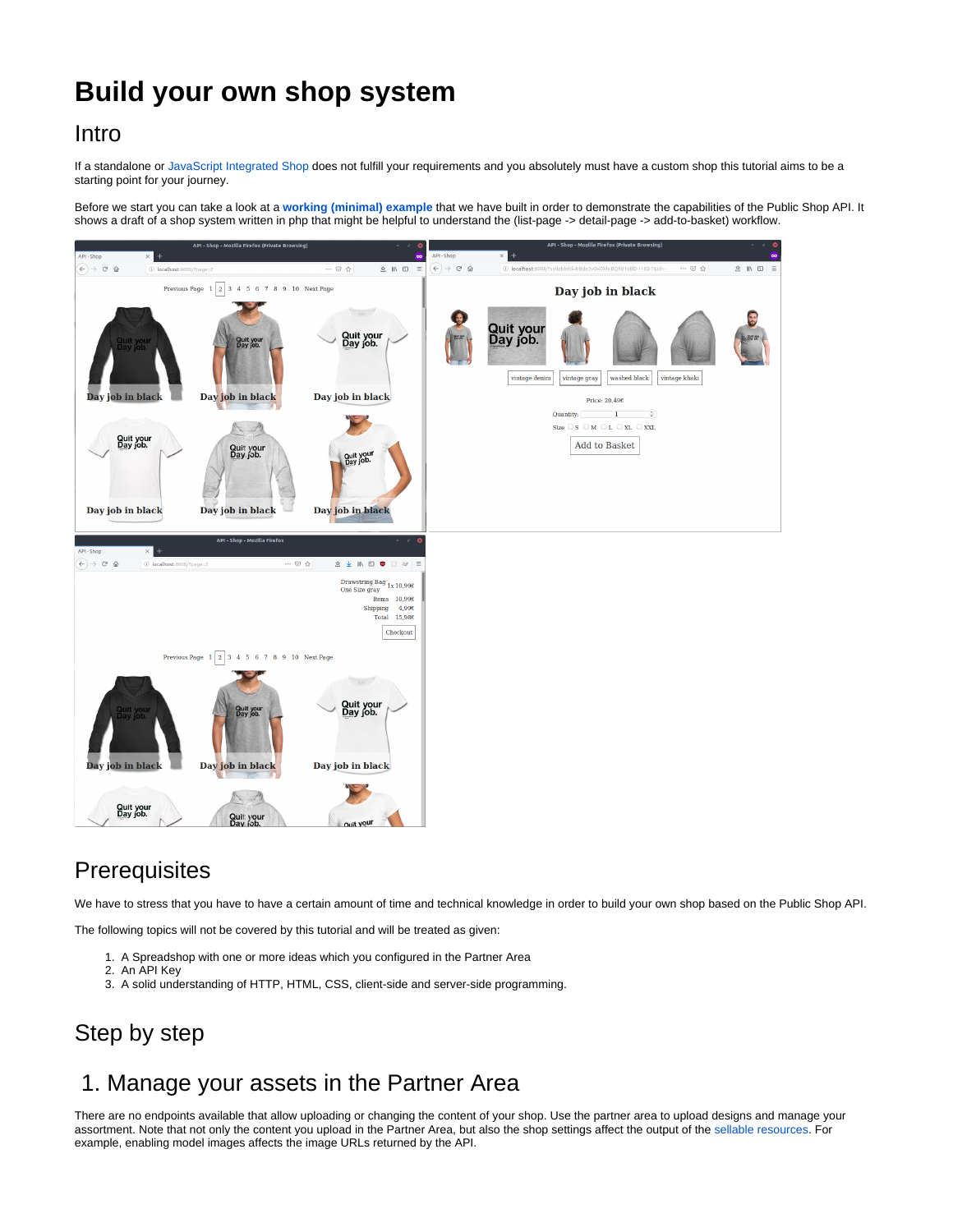# **Build your own shop system**

### Intro

If a standalone or [JavaScript Integrated Shop](https://help.spreadshirt.com/hc/en-us/articles/207487815-Website-Integration-with-JavaScript) does not fulfill your requirements and you absolutely must have a custom shop this tutorial aims to be a starting point for your journey.

Before we start you can take a look at a **[working \(minimal\) example](https://github.com/spreadshirt/shop-api-example-integration)** that we have built in order to demonstrate the capabilities of the Public Shop API. It shows a draft of a shop system written in php that might be helpful to understand the (list-page -> detail-page -> add-to-basket) workflow.



## **Prerequisites**

We have to stress that you have to have a certain amount of time and technical knowledge in order to build your own shop based on the Public Shop API.

The following topics will not be covered by this tutorial and will be treated as given:

- 1. A Spreadshop with one or more ideas which you configured in the Partner Area
- 2. An API Key
- 3. A solid understanding of HTTP, HTML, CSS, client-side and server-side programming.

## Step by step

## 1. Manage your assets in the Partner Area

There are no endpoints available that allow uploading or changing the content of your shop. Use the partner area to upload designs and manage your assortment. Note that not only the content you upload in the Partner Area, but also the shop settings affect the output of the [sellable resources.](https://developer.spreadshirt.net/display/API/Sellables) For example, enabling model images affects the image URLs returned by the API.